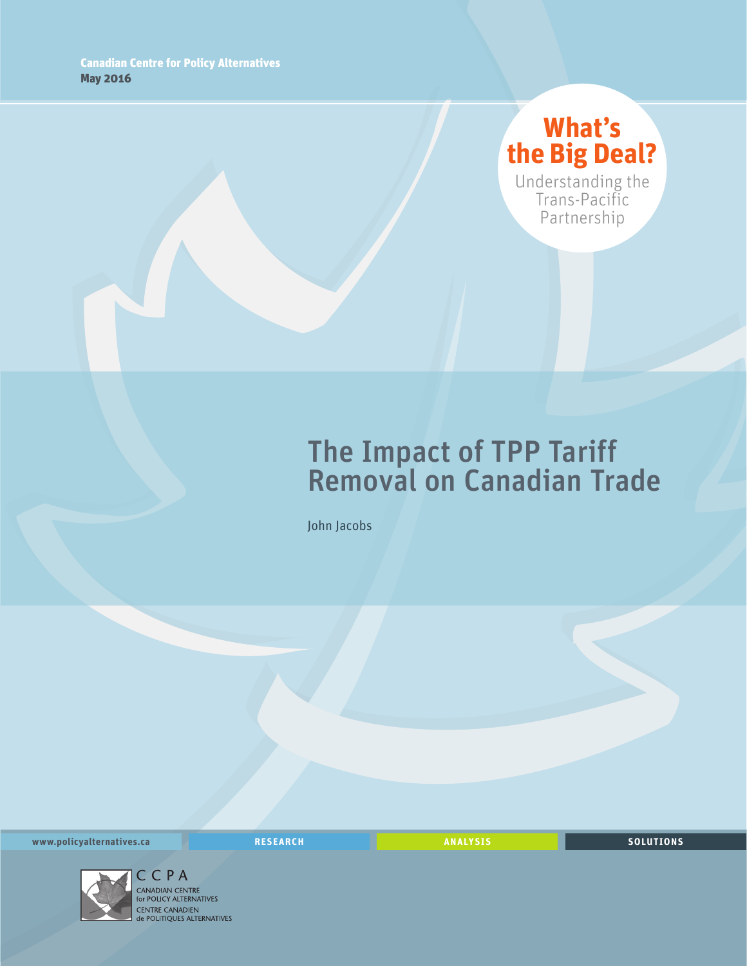## **What's the Big Deal?**

Understanding the Trans-Pacific Partnership

# The Impact of TPP Tariff Removal on Canadian Trade

John Jacobs

**www.policyalternatives.ca RESEARCH ANALYSIS SOLUTIONS**



C C P A<br>CANADIAN CENTRE<br>for POLICY ALTERNATIVES CENTRE CANADIEN<br> **CENTRE CANADIEN<br>
de POLITIQUES ALTERNATIVES**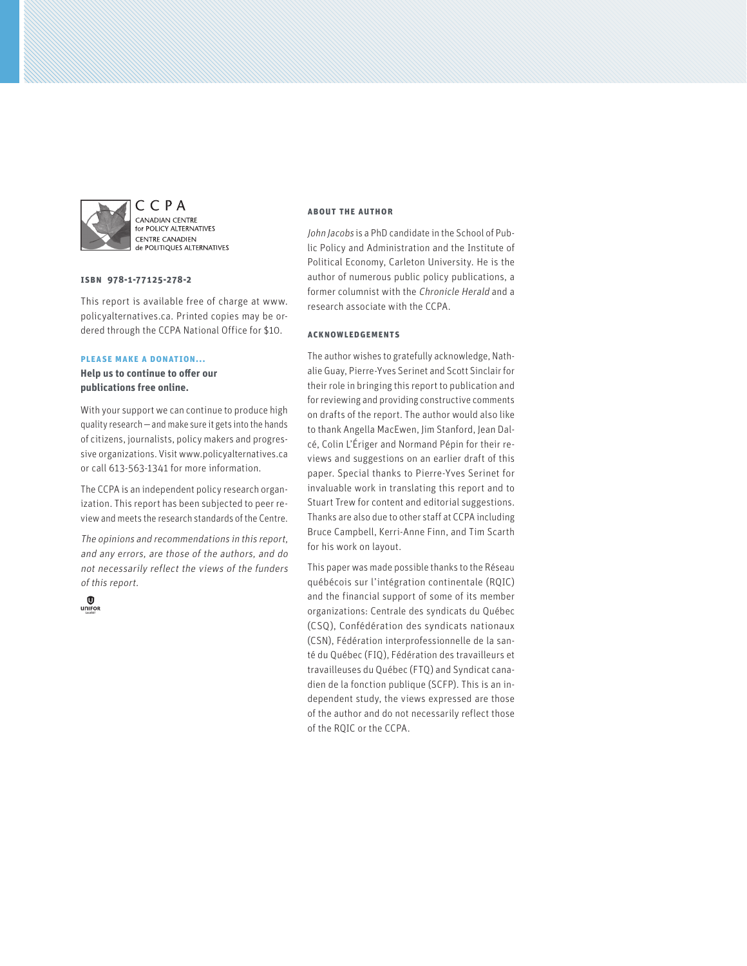

CCPA CANADIAN CENTRE for POLICY ALTERNATIVES **CENTRE CANADIEN CENTRE CANADIEN** 

#### **ISBN 978-1-77125-278-2**

This report is available free of charge at www. policyalternatives.ca. Printed copies may be ordered through the CCPA National Office for \$10.

#### **Please make a donation...**

**Help us to continue to offer our publications free online.**

With your support we can continue to produce high quality research—and make sure it gets into the hands of citizens, journalists, policy makers and progressive organizations. Visit www.policyalternatives.ca or call 613-563-1341 for more information.

The CCPA is an independent policy research organization. This report has been subjected to peer review and meets the research standards of the Centre.

The opinions and recommendations in this report, and any errors, are those of the authors, and do not necessarily reflect the views of the funders of this report.



#### **About the author**

John Jacobs is a PhD candidate in the School of Public Policy and Administration and the Institute of Political Economy, Carleton University. He is the author of numerous public policy publications, a former columnist with the Chronicle Herald and a research associate with the CCPA.

#### **Acknowledgements**

The author wishes to gratefully acknowledge, Nathalie Guay, Pierre-Yves Serinet and Scott Sinclair for their role in bringing this report to publication and for reviewing and providing constructive comments on drafts of the report. The author would also like to thank Angella MacEwen, Jim Stanford, Jean Dalcé, Colin L'Ériger and Normand Pépin for their reviews and suggestions on an earlier draft of this paper. Special thanks to Pierre-Yves Serinet for invaluable work in translating this report and to Stuart Trew for content and editorial suggestions. Thanks are also due to other staff at CCPA including Bruce Campbell, Kerri-Anne Finn, and Tim Scarth for his work on layout.

This paper was made possible thanks to the Réseau québécois sur l'intégration continentale (RQIC) and the financial support of some of its member organizations: Centrale des syndicats du Québec (CSQ), Confédération des syndicats nationaux (CSN), Fédération interprofessionnelle de la santé du Québec (FIQ), Fédération des travailleurs et travailleuses du Québec (FTQ) and Syndicat canadien de la fonction publique (SCFP). This is an independent study, the views expressed are those of the author and do not necessarily reflect those of the RQIC or the CCPA.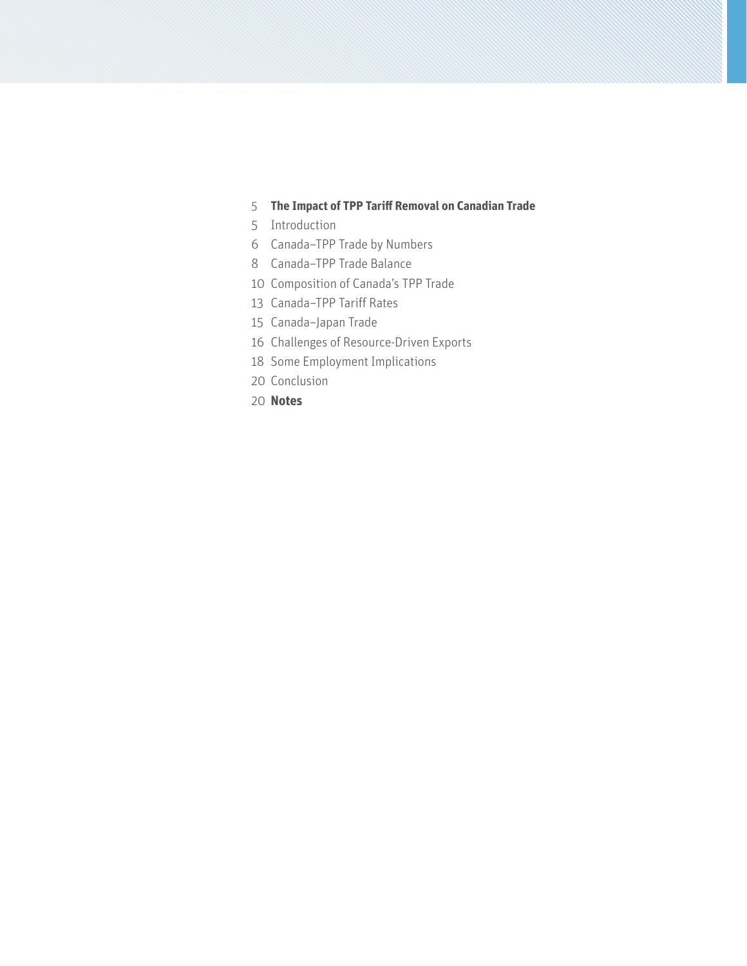#### **[The Impact of TPP Tariff Removal on Canadian Trade](#page-4-0)**

- [Introduction](#page-4-0)
- [Canada–TPP Trade by Numbers](#page-5-0)
- [Canada–TPP Trade Balance](#page-7-0)
- [Composition of Canada's TPP Trade](#page-9-0)
- [Canada–TPP Tariff Rates](#page-12-0)
- [Canada–Japan Trade](#page-14-0)
- [Challenges of Resource-Driven Exports](#page-15-0)
- [Some Employment Implications](#page-17-0)
- [Conclusion](#page-19-0)
- **[Notes](#page-19-0)**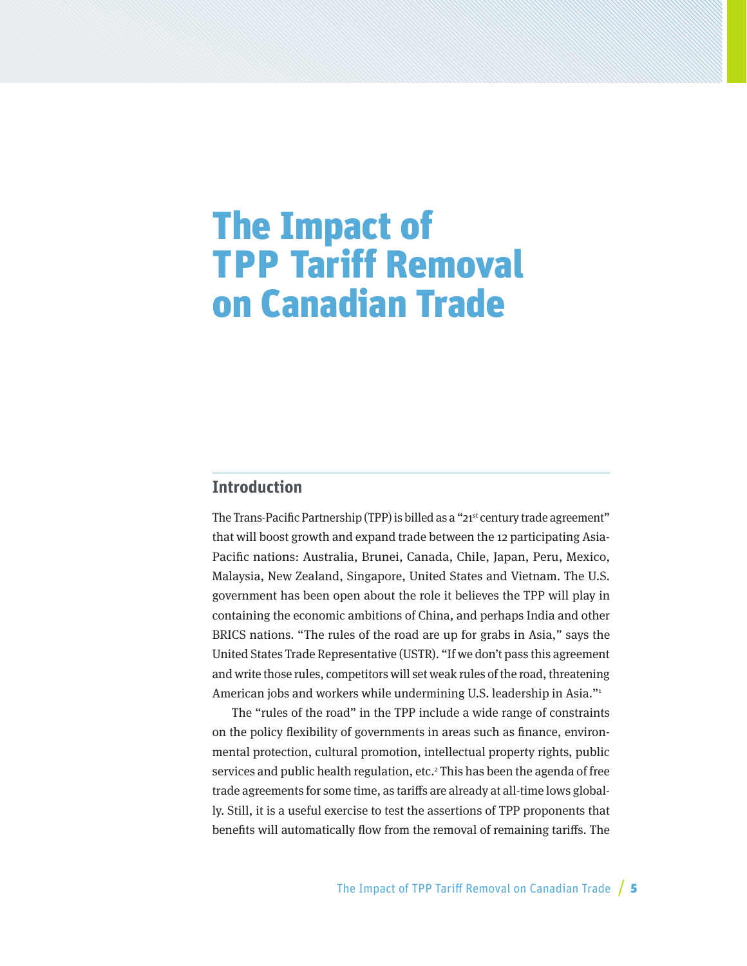# <span id="page-4-0"></span>The Impact of TPP Tariff Removal on Canadian Trade

#### **Introduction**

The Trans-Pacific Partnership (TPP) is billed as a "21<sup>st</sup> century trade agreement" that will boost growth and expand trade between the 12 participating Asia-Pacific nations: Australia, Brunei, Canada, Chile, Japan, Peru, Mexico, Malaysia, New Zealand, Singapore, United States and Vietnam. The U.S. government has been open about the role it believes the TPP will play in containing the economic ambitions of China, and perhaps India and other BRICS nations. "The rules of the road are up for grabs in Asia," says the United States Trade Representative (USTR). "If we don't pass this agreement and write those rules, competitors will set weak rules of the road, threatening American jobs and workers while undermining U.S. leadership in Asia."1

The "rules of the road" in the TPP include a wide range of constraints on the policy flexibility of governments in areas such as finance, environmental protection, cultural promotion, intellectual property rights, public services and public health regulation, etc.<sup>2</sup> This has been the agenda of free trade agreements for some time, as tariffs are already at all-time lows globally. Still, it is a useful exercise to test the assertions of TPP proponents that benefits will automatically flow from the removal of remaining tariffs. The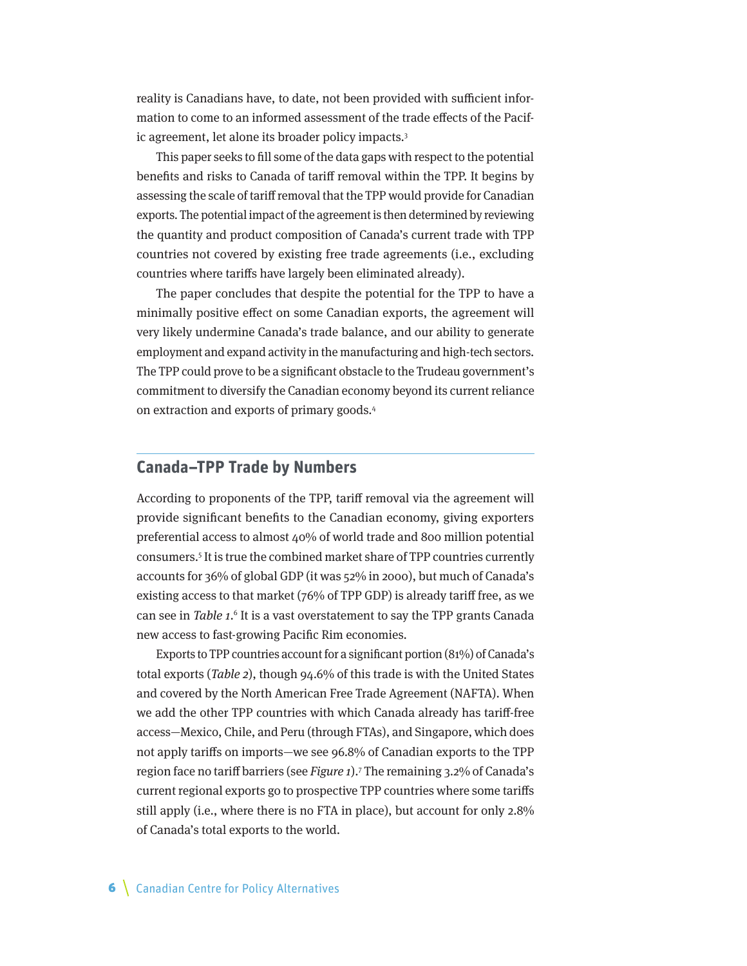<span id="page-5-0"></span>reality is Canadians have, to date, not been provided with sufficient information to come to an informed assessment of the trade effects of the Pacific agreement, let alone its broader policy impacts.3

This paper seeks to fill some of the data gaps with respect to the potential benefits and risks to Canada of tariff removal within the TPP. It begins by assessing the scale of tariff removal that the TPP would provide for Canadian exports. The potential impact of the agreement is then determined by reviewing the quantity and product composition of Canada's current trade with TPP countries not covered by existing free trade agreements (i.e., excluding countries where tariffs have largely been eliminated already).

The paper concludes that despite the potential for the TPP to have a minimally positive effect on some Canadian exports, the agreement will very likely undermine Canada's trade balance, and our ability to generate employment and expand activity in the manufacturing and high-tech sectors. The TPP could prove to be a significant obstacle to the Trudeau government's commitment to diversify the Canadian economy beyond its current reliance on extraction and exports of primary goods.4

#### **Canada–TPP Trade by Numbers**

According to proponents of the TPP, tariff removal via the agreement will provide significant benefits to the Canadian economy, giving exporters preferential access to almost 40% of world trade and 800 million potential consumers.5 It is true the combined market share of TPP countries currently accounts for 36% of global GDP (it was 52% in 2000), but much of Canada's existing access to that market (76% of TPP GDP) is already tariff free, as we can see in Table 1.<sup>6</sup> It is a vast overstatement to say the TPP grants Canada new access to fast-growing Pacific Rim economies.

Exports to TPP countries account for a significant portion (81%) of Canada's total exports (Table 2), though 94.6% of this trade is with the United States and covered by the North American Free Trade Agreement (NAFTA). When we add the other TPP countries with which Canada already has tariff-free access—Mexico, Chile, and Peru (through FTAs), and Singapore, which does not apply tariffs on imports—we see 96.8% of Canadian exports to the TPP region face no tariff barriers (see Figure 1).<sup>7</sup> The remaining 3.2% of Canada's current regional exports go to prospective TPP countries where some tariffs still apply (i.e., where there is no FTA in place), but account for only 2.8% of Canada's total exports to the world.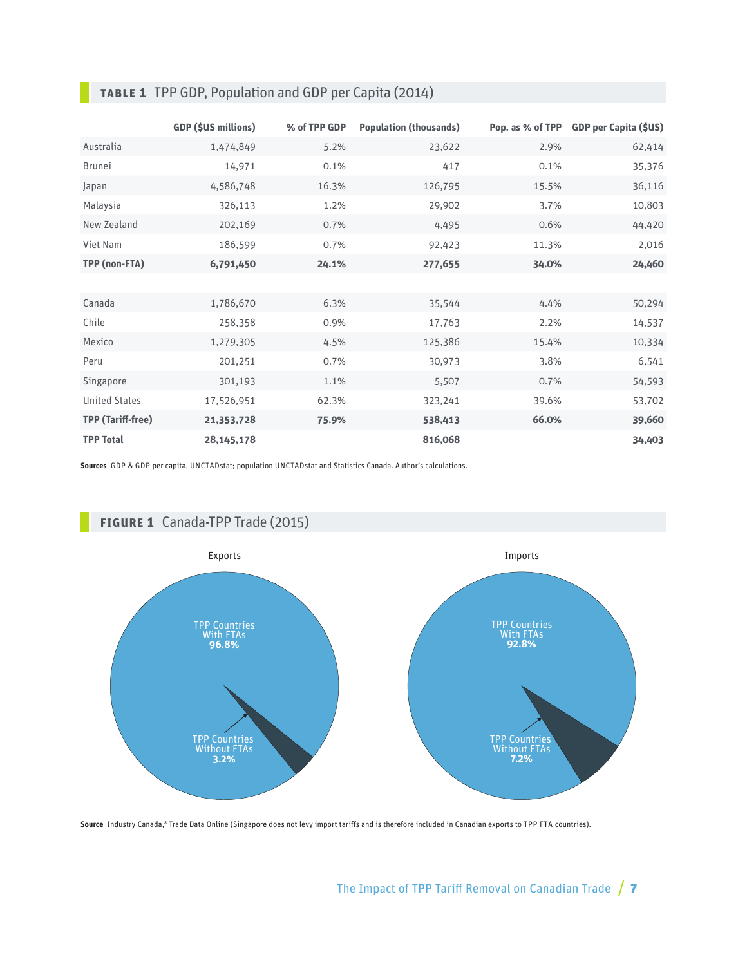|                          | <b>GDP (\$US millions)</b> | % of TPP GDP | <b>Population (thousands)</b> | Pop. as % of TPP | <b>GDP per Capita (\$US)</b> |
|--------------------------|----------------------------|--------------|-------------------------------|------------------|------------------------------|
| Australia                | 1,474,849                  | 5.2%         | 23,622                        | 2.9%             | 62,414                       |
| <b>Brunei</b>            | 14,971                     | 0.1%         | 417                           | 0.1%             | 35,376                       |
| Japan                    | 4,586,748                  | 16.3%        | 126,795                       | 15.5%            | 36,116                       |
| Malaysia                 | 326,113                    | 1.2%         | 29,902                        | 3.7%             | 10,803                       |
| New Zealand              | 202,169                    | 0.7%         | 4,495                         | 0.6%             | 44,420                       |
| Viet Nam                 | 186,599                    | 0.7%         | 92,423                        | 11.3%            | 2,016                        |
| TPP (non-FTA)            | 6,791,450                  | 24.1%        | 277,655                       | 34.0%            | 24,460                       |
|                          |                            |              |                               |                  |                              |
| Canada                   | 1,786,670                  | 6.3%         | 35,544                        | 4.4%             | 50,294                       |
| Chile                    | 258,358                    | 0.9%         | 17,763                        | 2.2%             | 14,537                       |
| Mexico                   | 1,279,305                  | 4.5%         | 125,386                       | 15.4%            | 10,334                       |
| Peru                     | 201,251                    | 0.7%         | 30,973                        | 3.8%             | 6,541                        |
| Singapore                | 301,193                    | 1.1%         | 5,507                         | 0.7%             | 54,593                       |
| <b>United States</b>     | 17,526,951                 | 62.3%        | 323,241                       | 39.6%            | 53,702                       |
| <b>TPP (Tariff-free)</b> | 21,353,728                 | 75.9%        | 538,413                       | 66.0%            | 39,660                       |
| <b>TPP Total</b>         | 28, 145, 178               |              | 816,068                       |                  | 34,403                       |

### **Table 1** TPP GDP, Population and GDP per Capita (2014)

**Sources** GDP & GDP per capita, UNCTADstat; population UNCTADstat and Statistics Canada. Author's calculations.



Source Industry Canada,<sup>8</sup> Trade Data Online (Singapore does not levy import tariffs and is therefore included in Canadian exports to TPP FTA countries).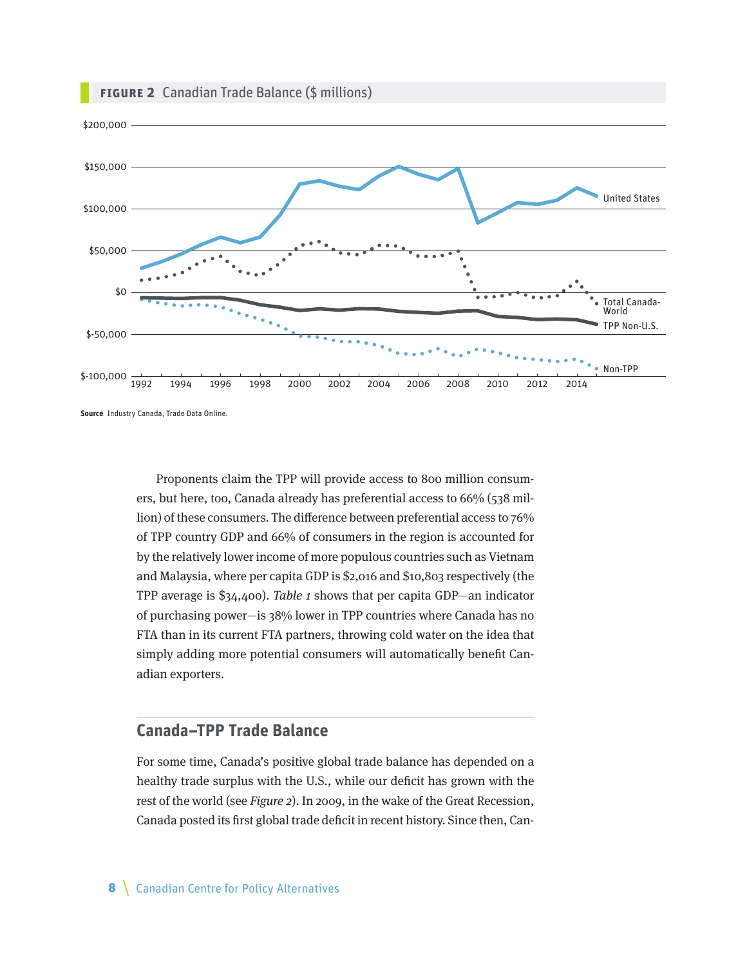<span id="page-7-0"></span>

**Source** Industry Canada, Trade Data Online.

Proponents claim the TPP will provide access to 800 million consumers, but here, too, Canada already has preferential access to 66% (538 million) of these consumers. The difference between preferential access to 76% of TPP country GDP and 66% of consumers in the region is accounted for by the relatively lower income of more populous countries such as Vietnam and Malaysia, where per capita GDP is \$2,016 and \$10,803 respectively (the TPP average is \$34,400). Table 1 shows that per capita GDP—an indicator of purchasing power—is 38% lower in TPP countries where Canada has no FTA than in its current FTA partners, throwing cold water on the idea that simply adding more potential consumers will automatically benefit Canadian exporters.

## **Canada–TPP Trade Balance**

For some time, Canada's positive global trade balance has depended on a healthy trade surplus with the U.S., while our deficit has grown with the rest of the world (see Figure 2). In 2009, in the wake of the Great Recession, Canada posted its first global trade deficit in recent history. Since then, Can-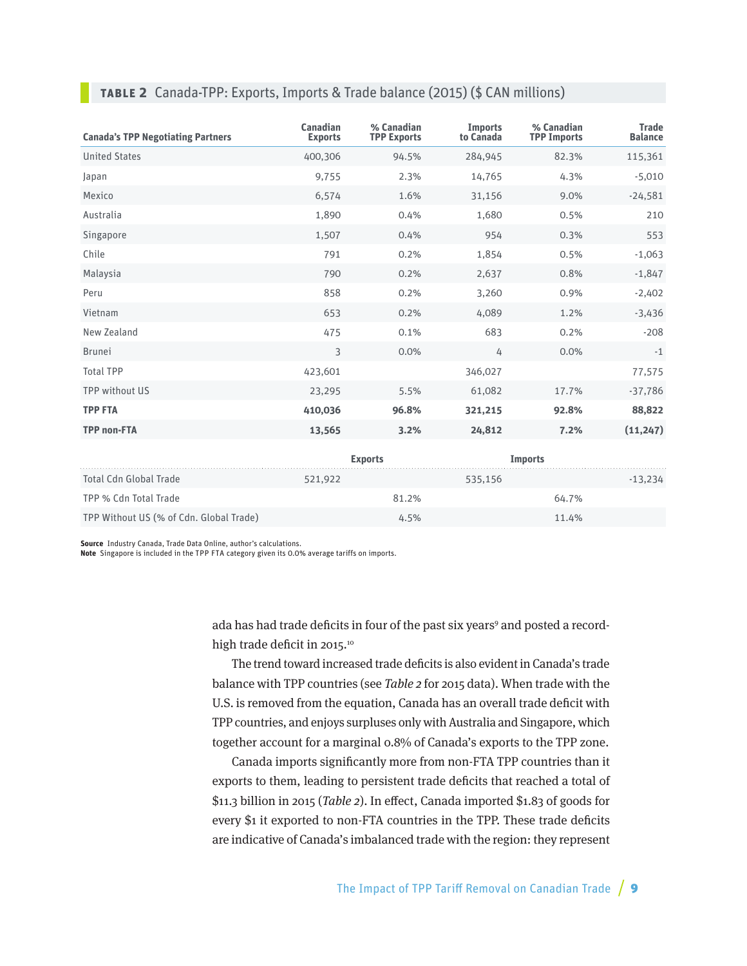#### **Table 2** Canada-TPP: Exports, Imports & Trade balance (2015) (\$ CAN millions)

| <b>Canada's TPP Negotiating Partners</b> | <b>Canadian</b><br><b>Exports</b> | % Canadian<br><b>TPP Exports</b> | <b>Imports</b><br>to Canada | % Canadian<br><b>TPP Imports</b> | <b>Trade</b><br><b>Balance</b> |
|------------------------------------------|-----------------------------------|----------------------------------|-----------------------------|----------------------------------|--------------------------------|
| <b>United States</b>                     | 400,306                           | 94.5%                            | 284,945                     | 82.3%                            | 115,361                        |
| Japan                                    | 9,755                             | 2.3%                             | 14,765                      | 4.3%                             | $-5,010$                       |
| Mexico                                   | 6,574                             | 1.6%                             | 31,156                      | 9.0%                             | $-24,581$                      |
| Australia                                | 1,890                             | 0.4%                             | 1,680                       | 0.5%                             | 210                            |
| Singapore                                | 1,507                             | 0.4%                             | 954                         | 0.3%                             | 553                            |
| Chile                                    | 791                               | 0.2%                             | 1,854                       | 0.5%                             | $-1,063$                       |
| Malaysia                                 | 790                               | 0.2%                             | 2,637                       | 0.8%                             | $-1,847$                       |
| Peru                                     | 858                               | 0.2%                             | 3,260                       | 0.9%                             | $-2,402$                       |
| Vietnam                                  | 653                               | 0.2%                             | 4,089                       | 1.2%                             | $-3,436$                       |
| New Zealand                              | 475                               | 0.1%                             | 683                         | 0.2%                             | $-208$                         |
| <b>Brunei</b>                            | 3                                 | 0.0%                             | 4                           | 0.0%                             | $-1$                           |
| <b>Total TPP</b>                         | 423,601                           |                                  | 346,027                     |                                  | 77,575                         |
| TPP without US                           | 23,295                            | 5.5%                             | 61,082                      | 17.7%                            | $-37,786$                      |
| <b>TPP FTA</b>                           | 410,036                           | 96.8%                            | 321,215                     | 92.8%                            | 88,822                         |
| <b>TPP non-FTA</b>                       | 13,565                            | 3.2%                             | 24,812                      | 7.2%                             | (11,247)                       |
|                                          |                                   |                                  |                             |                                  |                                |

|                                         | <b>Exports</b> | Imports |           |
|-----------------------------------------|----------------|---------|-----------|
| Total Cdn Global Trade                  | 521.922        | 535,156 | $-13,234$ |
| TPP % Cdn Total Trade                   | 81.2%          | 64.7%   |           |
| TPP Without US (% of Cdn. Global Trade) | 4.5%           | 11.4%   |           |

**Source** Industry Canada, Trade Data Online, author's calculations.

**Note** Singapore is included in the TPP FTA category given its 0.0% average tariffs on imports.

ada has had trade deficits in four of the past six years<sup>9</sup> and posted a recordhigh trade deficit in 2015.<sup>10</sup>

The trend toward increased trade deficits is also evident in Canada's trade balance with TPP countries (see Table 2 for 2015 data). When trade with the U.S. is removed from the equation, Canada has an overall trade deficit with TPP countries, and enjoys surpluses only with Australia and Singapore, which together account for a marginal 0.8% of Canada's exports to the TPP zone.

Canada imports significantly more from non-FTA TPP countries than it exports to them, leading to persistent trade deficits that reached a total of \$11.3 billion in 2015 (Table 2). In effect, Canada imported \$1.83 of goods for every \$1 it exported to non-FTA countries in the TPP. These trade deficits are indicative of Canada's imbalanced trade with the region: they represent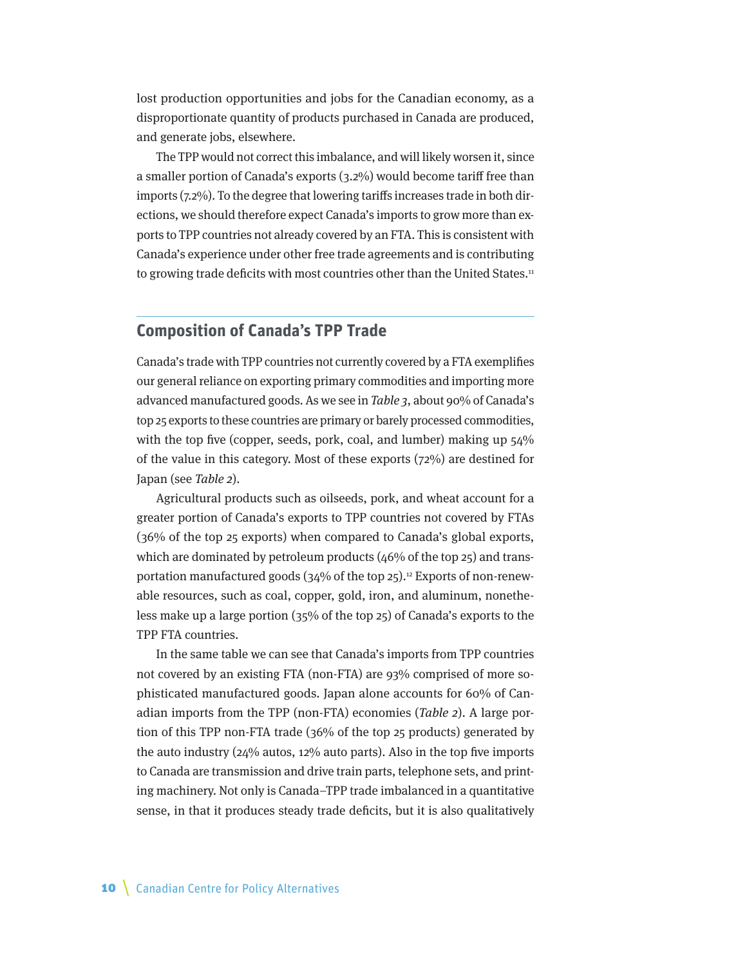<span id="page-9-0"></span>lost production opportunities and jobs for the Canadian economy, as a disproportionate quantity of products purchased in Canada are produced, and generate jobs, elsewhere.

The TPP would not correct this imbalance, and will likely worsen it, since a smaller portion of Canada's exports (3.2%) would become tariff free than imports (7.2%). To the degree that lowering tariffs increases trade in both directions, we should therefore expect Canada's imports to grow more than exports to TPP countries not already covered by an FTA. This is consistent with Canada's experience under other free trade agreements and is contributing to growing trade deficits with most countries other than the United States.<sup>11</sup>

#### **Composition of Canada's TPP Trade**

Canada's trade with TPP countries not currently covered by a FTA exemplifies our general reliance on exporting primary commodities and importing more advanced manufactured goods. As we see in Table 3, about 90% of Canada's top 25 exports to these countries are primary or barely processed commodities, with the top five (copper, seeds, pork, coal, and lumber) making up  $54\%$ of the value in this category. Most of these exports (72%) are destined for Japan (see Table 2).

Agricultural products such as oilseeds, pork, and wheat account for a greater portion of Canada's exports to TPP countries not covered by FTAs (36% of the top 25 exports) when compared to Canada's global exports, which are dominated by petroleum products  $(46%$  of the top 25) and transportation manufactured goods (34% of the top 25).<sup>12</sup> Exports of non-renewable resources, such as coal, copper, gold, iron, and aluminum, nonetheless make up a large portion (35% of the top 25) of Canada's exports to the TPP FTA countries.

In the same table we can see that Canada's imports from TPP countries not covered by an existing FTA (non-FTA) are 93% comprised of more sophisticated manufactured goods. Japan alone accounts for 60% of Canadian imports from the TPP (non-FTA) economies (Table 2). A large portion of this TPP non-FTA trade (36% of the top 25 products) generated by the auto industry (24% autos, 12% auto parts). Also in the top five imports to Canada are transmission and drive train parts, telephone sets, and printing machinery. Not only is Canada–TPP trade imbalanced in a quantitative sense, in that it produces steady trade deficits, but it is also qualitatively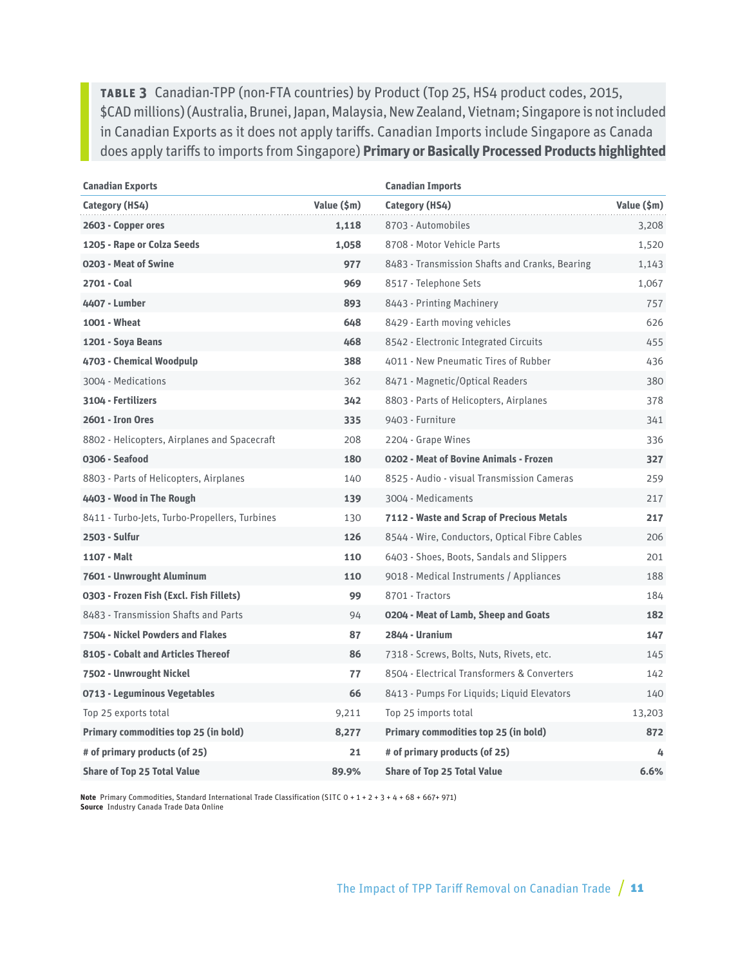**Table 3** Canadian-TPP (non-FTA countries) by Product (Top 25, HS4 product codes, 2015, \$CAD millions) (Australia, Brunei, Japan, Malaysia, New Zealand, Vietnam; Singapore is not included in Canadian Exports as it does not apply tariffs. Canadian Imports include Singapore as Canada does apply tariffs to imports from Singapore) **Primary or Basically Processed Products highlighted**

| <b>Canadian Exports</b>                       |             | <b>Canadian Imports</b>                        |             |
|-----------------------------------------------|-------------|------------------------------------------------|-------------|
| Category (HS4)                                | Value (\$m) | Category (HS4)                                 | Value (\$m) |
| 2603 - Copper ores                            | 1,118       | 8703 - Automobiles                             | 3,208       |
| 1205 - Rape or Colza Seeds                    | 1,058       | 8708 - Motor Vehicle Parts                     | 1,520       |
| 0203 - Meat of Swine                          | 977         | 8483 - Transmission Shafts and Cranks, Bearing | 1,143       |
| 2701 - Coal                                   | 969         | 8517 - Telephone Sets                          | 1,067       |
| 4407 - Lumber                                 | 893         | 8443 - Printing Machinery                      | 757         |
| 1001 - Wheat                                  | 648         | 8429 - Earth moving vehicles                   | 626         |
| 1201 - Soya Beans                             | 468         | 8542 - Electronic Integrated Circuits          | 455         |
| 4703 - Chemical Woodpulp                      | 388         | 4011 - New Pneumatic Tires of Rubber           | 436         |
| 3004 - Medications                            | 362         | 8471 - Magnetic/Optical Readers                | 380         |
| 3104 - Fertilizers                            | 342         | 8803 - Parts of Helicopters, Airplanes         | 378         |
| 2601 - Iron Ores                              | 335         | 9403 - Furniture                               | 341         |
| 8802 - Helicopters, Airplanes and Spacecraft  | 208         | 2204 - Grape Wines                             | 336         |
| 0306 - Seafood                                | 180         | 0202 - Meat of Bovine Animals - Frozen         | 327         |
| 8803 - Parts of Helicopters, Airplanes        | 140         | 8525 - Audio - visual Transmission Cameras     | 259         |
| 4403 - Wood in The Rough                      | 139         | 3004 - Medicaments                             | 217         |
| 8411 - Turbo-Jets, Turbo-Propellers, Turbines | 130         | 7112 - Waste and Scrap of Precious Metals      | 217         |
| 2503 - Sulfur                                 | 126         | 8544 - Wire, Conductors, Optical Fibre Cables  | 206         |
| 1107 - Malt                                   | 110         | 6403 - Shoes, Boots, Sandals and Slippers      | 201         |
| 7601 - Unwrought Aluminum                     | 110         | 9018 - Medical Instruments / Appliances        | 188         |
| 0303 - Frozen Fish (Excl. Fish Fillets)       | 99          | 8701 - Tractors                                | 184         |
| 8483 - Transmission Shafts and Parts          | 94          | 0204 - Meat of Lamb, Sheep and Goats           | 182         |
| 7504 - Nickel Powders and Flakes              | 87          | 2844 - Uranium                                 | 147         |
| 8105 - Cobalt and Articles Thereof            | 86          | 7318 - Screws, Bolts, Nuts, Rivets, etc.       | 145         |
| 7502 - Unwrought Nickel                       | 77          | 8504 - Electrical Transformers & Converters    | 142         |
| 0713 - Leguminous Vegetables                  | 66          | 8413 - Pumps For Liquids; Liquid Elevators     | 140         |
| Top 25 exports total                          | 9,211       | Top 25 imports total                           | 13,203      |
| Primary commodities top 25 (in bold)          | 8,277       | Primary commodities top 25 (in bold)           | 872         |
| # of primary products (of 25)                 | 21          | # of primary products (of 25)                  | 4           |
| <b>Share of Top 25 Total Value</b>            | 89.9%       | <b>Share of Top 25 Total Value</b>             | 6.6%        |

**Note** Primary Commodities, Standard International Trade Classification (SITC 0 + 1 + 2 + 3 + 4 + 68 + 667+ 971) **Source** Industry Canada Trade Data Online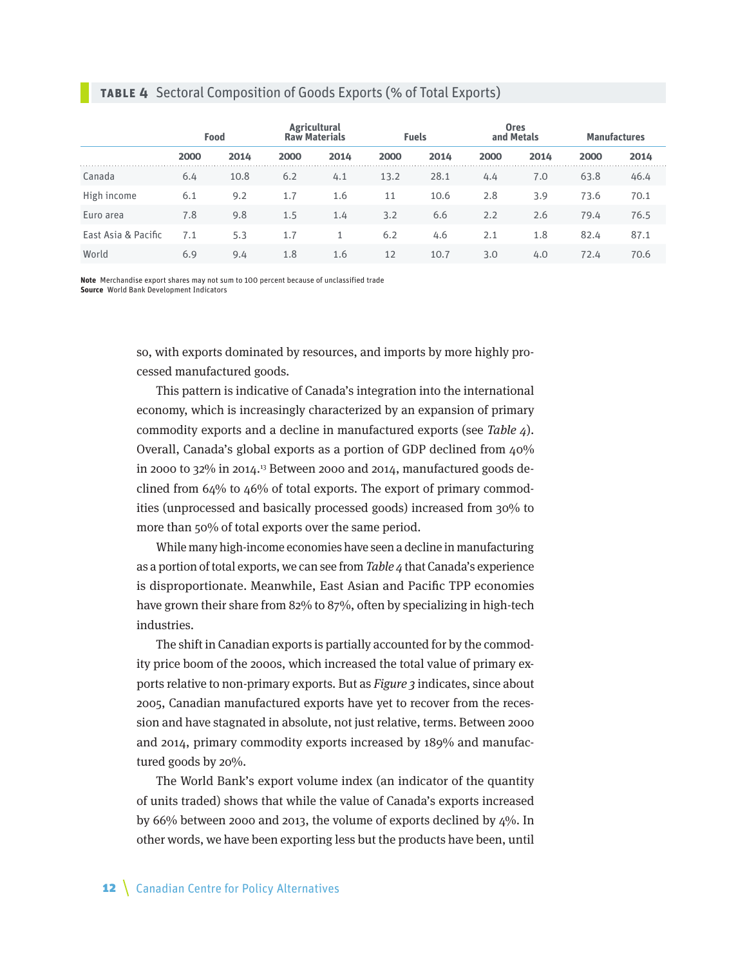#### **Table 4** Sectoral Composition of Goods Exports (% of Total Exports)

|                     | Food |      | <b>Agricultural</b><br><b>Raw Materials</b><br><b>Fuels</b> |      |      |      | <b>Ores</b><br>and Metals | <b>Manufactures</b> |      |      |
|---------------------|------|------|-------------------------------------------------------------|------|------|------|---------------------------|---------------------|------|------|
|                     | 2000 | 2014 | 2000                                                        | 2014 | 2000 | 2014 | 2000                      | 2014                | 2000 | 2014 |
| Canada              | 6.4  | 10.8 | 6.2                                                         | 4.1  | 13.2 | 28.1 | 4.4                       | 7.0                 | 63.8 | 46.4 |
| High income         | 6.1  | 9.2  | 1.7                                                         | 1.6  | 11   | 10.6 | 2.8                       | 3.9                 | 73.6 | 70.1 |
| Euro area           | 7.8  | 9.8  | 1.5                                                         | 1.4  | 3.2  | 6.6  | 2.2                       | 2.6                 | 79.4 | 76.5 |
| East Asia & Pacific | 7.1  | 5.3  | 1.7                                                         |      | 6.2  | 4.6  | 2.1                       | 1.8                 | 82.4 | 87.1 |
| World               | 6.9  | 9.4  | 1.8                                                         | 1.6  | 12   | 10.7 | 3.0                       | 4.0                 | 72.4 | 70.6 |

**Note** Merchandise export shares may not sum to 100 percent because of unclassified trade **Source** World Bank Development Indicators

> so, with exports dominated by resources, and imports by more highly processed manufactured goods.

> This pattern is indicative of Canada's integration into the international economy, which is increasingly characterized by an expansion of primary commodity exports and a decline in manufactured exports (see Table 4). Overall, Canada's global exports as a portion of GDP declined from 40% in 2000 to 32% in 2014.13 Between 2000 and 2014, manufactured goods declined from 64% to 46% of total exports. The export of primary commodities (unprocessed and basically processed goods) increased from 30% to more than 50% of total exports over the same period.

> While many high-income economies have seen a decline in manufacturing as a portion of total exports, we can see from Table 4 that Canada's experience is disproportionate. Meanwhile, East Asian and Pacific TPP economies have grown their share from 82% to 87%, often by specializing in high-tech industries.

> The shift in Canadian exports is partially accounted for by the commodity price boom of the 2000s, which increased the total value of primary exports relative to non-primary exports. But as Figure 3 indicates, since about 2005, Canadian manufactured exports have yet to recover from the recession and have stagnated in absolute, not just relative, terms. Between 2000 and 2014, primary commodity exports increased by 189% and manufactured goods by 20%.

> The World Bank's export volume index (an indicator of the quantity of units traded) shows that while the value of Canada's exports increased by 66% between 2000 and 2013, the volume of exports declined by  $4\%$ . In other words, we have been exporting less but the products have been, until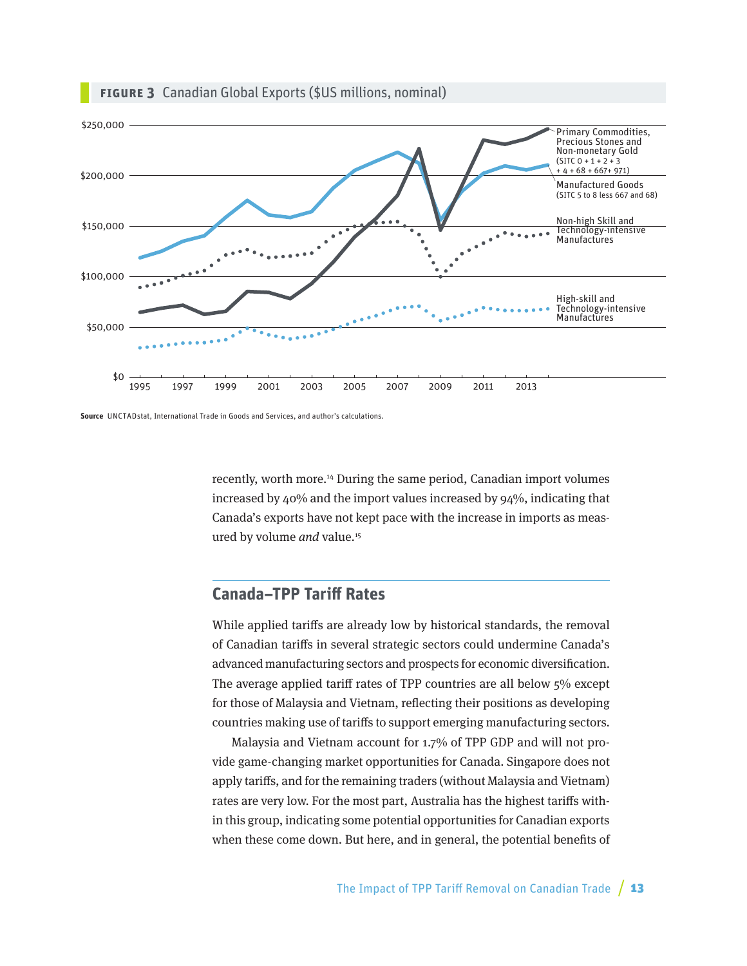

#### <span id="page-12-0"></span>**Figure 3** Canadian Global Exports (\$US millions, nominal)

**Source** UNCTADstat, International Trade in Goods and Services, and author's calculations.

recently, worth more.14 During the same period, Canadian import volumes increased by 40% and the import values increased by 94%, indicating that Canada's exports have not kept pace with the increase in imports as measured by volume and value.<sup>15</sup>

## **Canada–TPP Tariff Rates**

While applied tariffs are already low by historical standards, the removal of Canadian tariffs in several strategic sectors could undermine Canada's advanced manufacturing sectors and prospects for economic diversification. The average applied tariff rates of TPP countries are all below 5% except for those of Malaysia and Vietnam, reflecting their positions as developing countries making use of tariffs to support emerging manufacturing sectors.

Malaysia and Vietnam account for 1.7% of TPP GDP and will not provide game-changing market opportunities for Canada. Singapore does not apply tariffs, and for the remaining traders (without Malaysia and Vietnam) rates are very low. For the most part, Australia has the highest tariffs within this group, indicating some potential opportunities for Canadian exports when these come down. But here, and in general, the potential benefits of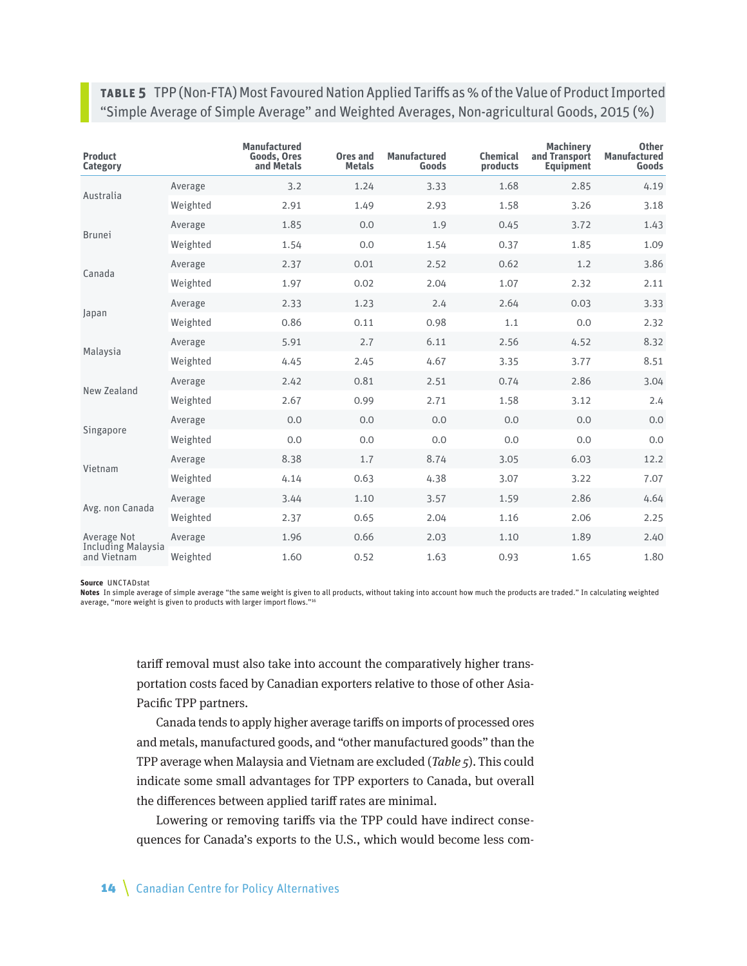**Table 5** TPP (Non-FTA) Most Favoured Nation Applied Tariffs as % of the Value of Product Imported "Simple Average of Simple Average" and Weighted Averages, Non-agricultural Goods, 2015 (%)

| <b>Product</b><br><b>Category</b>        |          | <b>Manufactured</b><br><b>Goods, Ores</b><br>and Metals | Ores and<br><b>Metals</b> | <b>Manufactured</b><br>Goods | <b>Chemical</b><br>products | <b>Machinery</b><br>and Transport<br><b>Equipment</b> | <b>Other</b><br><b>Manufactured</b><br>Goods |
|------------------------------------------|----------|---------------------------------------------------------|---------------------------|------------------------------|-----------------------------|-------------------------------------------------------|----------------------------------------------|
| Australia                                | Average  | 3.2                                                     | 1.24                      | 3.33                         | 1.68                        | 2.85                                                  | 4.19                                         |
|                                          | Weighted | 2.91                                                    | 1.49                      | 2.93                         | 1.58                        | 3.26                                                  | 3.18                                         |
|                                          | Average  | 1.85                                                    | 0.0                       | 1.9                          | 0.45                        | 3.72                                                  | 1.43                                         |
| <b>Brunei</b>                            | Weighted | 1.54                                                    | 0.0                       | 1.54                         | 0.37                        | 1.85                                                  | 1.09                                         |
| Canada                                   | Average  | 2.37                                                    | 0.01                      | 2.52                         | 0.62                        | 1.2                                                   | 3.86                                         |
|                                          | Weighted | 1.97                                                    | 0.02                      | 2.04                         | 1.07                        | 2.32                                                  | 2.11                                         |
|                                          | Average  | 2.33                                                    | 1.23                      | 2.4                          | 2.64                        | 0.03                                                  | 3.33                                         |
| Japan                                    | Weighted | 0.86                                                    | 0.11                      | 0.98                         | 1.1                         | 0.0                                                   | 2.32                                         |
| Malaysia                                 | Average  | 5.91                                                    | 2.7                       | 6.11                         | 2.56                        | 4.52                                                  | 8.32                                         |
|                                          | Weighted | 4.45                                                    | 2.45                      | 4.67                         | 3.35                        | 3.77                                                  | 8.51                                         |
| New Zealand                              | Average  | 2.42                                                    | 0.81                      | 2.51                         | 0.74                        | 2.86                                                  | 3.04                                         |
|                                          | Weighted | 2.67                                                    | 0.99                      | 2.71                         | 1.58                        | 3.12                                                  | 2.4                                          |
|                                          | Average  | 0.0                                                     | 0.0                       | 0.0                          | 0.0                         | 0.0                                                   | 0.0                                          |
| Singapore                                | Weighted | 0.0                                                     | 0.0                       | 0.0                          | 0.0                         | 0.0                                                   | 0.0                                          |
| Vietnam                                  | Average  | 8.38                                                    | 1.7                       | 8.74                         | 3.05                        | 6.03                                                  | 12.2                                         |
|                                          | Weighted | 4.14                                                    | 0.63                      | 4.38                         | 3.07                        | 3.22                                                  | 7.07                                         |
|                                          | Average  | 3.44                                                    | 1.10                      | 3.57                         | 1.59                        | 2.86                                                  | 4.64                                         |
| Avg. non Canada                          | Weighted | 2.37                                                    | 0.65                      | 2.04                         | 1.16                        | 2.06                                                  | 2.25                                         |
| Average Not                              | Average  | 1.96                                                    | 0.66                      | 2.03                         | 1.10                        | 1.89                                                  | 2.40                                         |
| <b>Including Malaysia</b><br>and Vietnam | Weighted | 1.60                                                    | 0.52                      | 1.63                         | 0.93                        | 1.65                                                  | 1.80                                         |

#### **Source** UNCTADstat

**Notes** In simple average of simple average "the same weight is given to all products, without taking into account how much the products are traded." In calculating weighted average, "more weight is given to products with larger import flows."16

tariff removal must also take into account the comparatively higher transportation costs faced by Canadian exporters relative to those of other Asia-Pacific TPP partners.

Canada tends to apply higher average tariffs on imports of processed ores and metals, manufactured goods, and "other manufactured goods" than the TPP average when Malaysia and Vietnam are excluded (Table 5). This could indicate some small advantages for TPP exporters to Canada, but overall the differences between applied tariff rates are minimal.

Lowering or removing tariffs via the TPP could have indirect consequences for Canada's exports to the U.S., which would become less com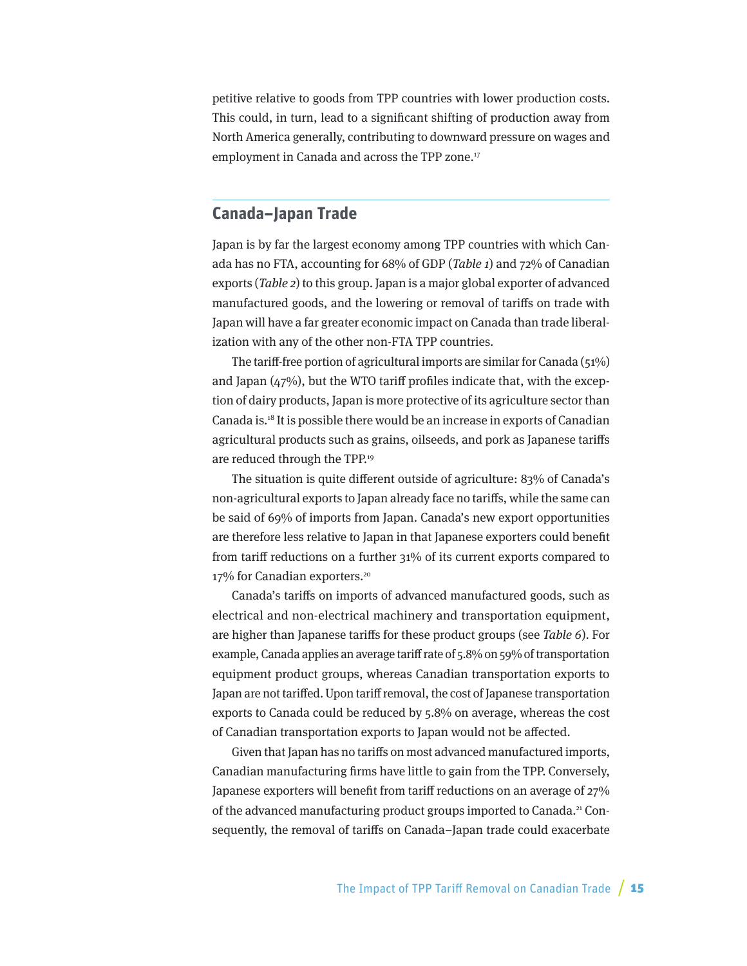<span id="page-14-0"></span>petitive relative to goods from TPP countries with lower production costs. This could, in turn, lead to a significant shifting of production away from North America generally, contributing to downward pressure on wages and employment in Canada and across the TPP zone.17

#### **Canada–Japan Trade**

Japan is by far the largest economy among TPP countries with which Canada has no FTA, accounting for 68% of GDP (Table 1) and 72% of Canadian exports (Table 2) to this group. Japan is a major global exporter of advanced manufactured goods, and the lowering or removal of tariffs on trade with Japan will have a far greater economic impact on Canada than trade liberalization with any of the other non-FTA TPP countries.

The tariff-free portion of agricultural imports are similar for Canada (51%) and Japan  $(47%)$ , but the WTO tariff profiles indicate that, with the exception of dairy products, Japan is more protective of its agriculture sector than Canada is.18 It is possible there would be an increase in exports of Canadian agricultural products such as grains, oilseeds, and pork as Japanese tariffs are reduced through the TPP.19

The situation is quite different outside of agriculture: 83% of Canada's non-agricultural exports to Japan already face no tariffs, while the same can be said of 69% of imports from Japan. Canada's new export opportunities are therefore less relative to Japan in that Japanese exporters could benefit from tariff reductions on a further 31% of its current exports compared to 17% for Canadian exporters.<sup>20</sup>

Canada's tariffs on imports of advanced manufactured goods, such as electrical and non-electrical machinery and transportation equipment, are higher than Japanese tariffs for these product groups (see Table 6). For example, Canada applies an average tariff rate of 5.8% on 59% of transportation equipment product groups, whereas Canadian transportation exports to Japan are not tariffed. Upon tariff removal, the cost of Japanese transportation exports to Canada could be reduced by 5.8% on average, whereas the cost of Canadian transportation exports to Japan would not be affected.

Given that Japan has no tariffs on most advanced manufactured imports, Canadian manufacturing firms have little to gain from the TPP. Conversely, Japanese exporters will benefit from tariff reductions on an average of 27% of the advanced manufacturing product groups imported to Canada.21 Consequently, the removal of tariffs on Canada–Japan trade could exacerbate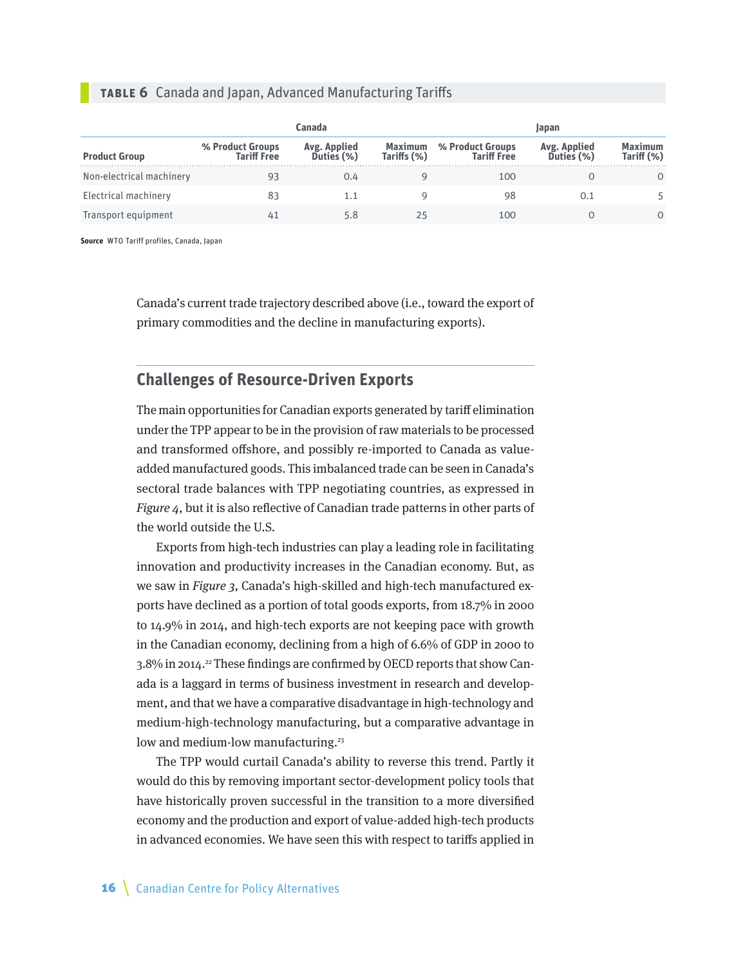#### <span id="page-15-0"></span>**Table 6** Canada and Japan, Advanced Manufacturing Tariffs

|                          |                                        | Canada                     |                        |                                        | Japan                              |                              |
|--------------------------|----------------------------------------|----------------------------|------------------------|----------------------------------------|------------------------------------|------------------------------|
| <b>Product Group</b>     | % Product Groups<br><b>Tariff Free</b> | Avg. Applied<br>Duties (%) | Maximum<br>Tariffs (%) | % Product Groups<br><b>Tariff Free</b> | <b>Avg. Applied<br/>Duties (%)</b> | <b>Maximum</b><br>Tariff (%) |
| Non-electrical machinery | 93                                     | 0.4                        |                        | 100                                    |                                    | 0                            |
| Electrical machinery     | 83                                     | 1.1                        |                        | 98                                     | 0.1                                |                              |
| Transport equipment      | 41                                     | 5.8                        | 25                     | 100                                    |                                    | 0                            |

**Source** WTO Tariff profiles, Canada, Japan

Canada's current trade trajectory described above (i.e., toward the export of primary commodities and the decline in manufacturing exports).

## **Challenges of Resource-Driven Exports**

The main opportunities for Canadian exports generated by tariff elimination under the TPP appear to be in the provision of raw materials to be processed and transformed offshore, and possibly re-imported to Canada as valueadded manufactured goods. This imbalanced trade can be seen in Canada's sectoral trade balances with TPP negotiating countries, as expressed in Figure 4, but it is also reflective of Canadian trade patterns in other parts of the world outside the U.S.

Exports from high-tech industries can play a leading role in facilitating innovation and productivity increases in the Canadian economy. But, as we saw in Figure 3, Canada's high-skilled and high-tech manufactured exports have declined as a portion of total goods exports, from 18.7% in 2000 to 14.9% in 2014, and high-tech exports are not keeping pace with growth in the Canadian economy, declining from a high of 6.6% of GDP in 2000 to 3.8% in 2014.<sup>22</sup> These findings are confirmed by OECD reports that show Canada is a laggard in terms of business investment in research and development, and that we have a comparative disadvantage in high-technology and medium-high-technology manufacturing, but a comparative advantage in low and medium-low manufacturing.<sup>23</sup>

The TPP would curtail Canada's ability to reverse this trend. Partly it would do this by removing important sector-development policy tools that have historically proven successful in the transition to a more diversified economy and the production and export of value-added high-tech products in advanced economies. We have seen this with respect to tariffs applied in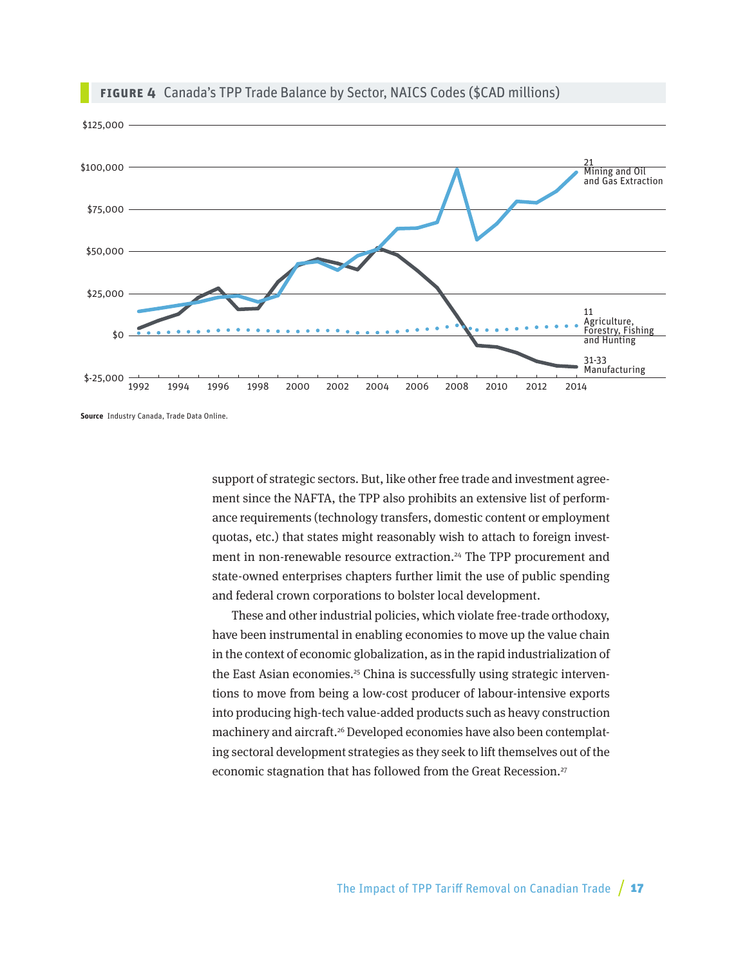

#### **Figure 4** Canada's TPP Trade Balance by Sector, NAICS Codes (\$CAD millions)

**Source** Industry Canada, Trade Data Online.

support of strategic sectors. But, like other free trade and investment agreement since the NAFTA, the TPP also prohibits an extensive list of performance requirements (technology transfers, domestic content or employment quotas, etc.) that states might reasonably wish to attach to foreign investment in non-renewable resource extraction.<sup>24</sup> The TPP procurement and state-owned enterprises chapters further limit the use of public spending and federal crown corporations to bolster local development.

These and other industrial policies, which violate free-trade orthodoxy, have been instrumental in enabling economies to move up the value chain in the context of economic globalization, as in the rapid industrialization of the East Asian economies.<sup>25</sup> China is successfully using strategic interventions to move from being a low-cost producer of labour-intensive exports into producing high-tech value-added products such as heavy construction machinery and aircraft.<sup>26</sup> Developed economies have also been contemplating sectoral development strategies as they seek to lift themselves out of the economic stagnation that has followed from the Great Recession.<sup>27</sup>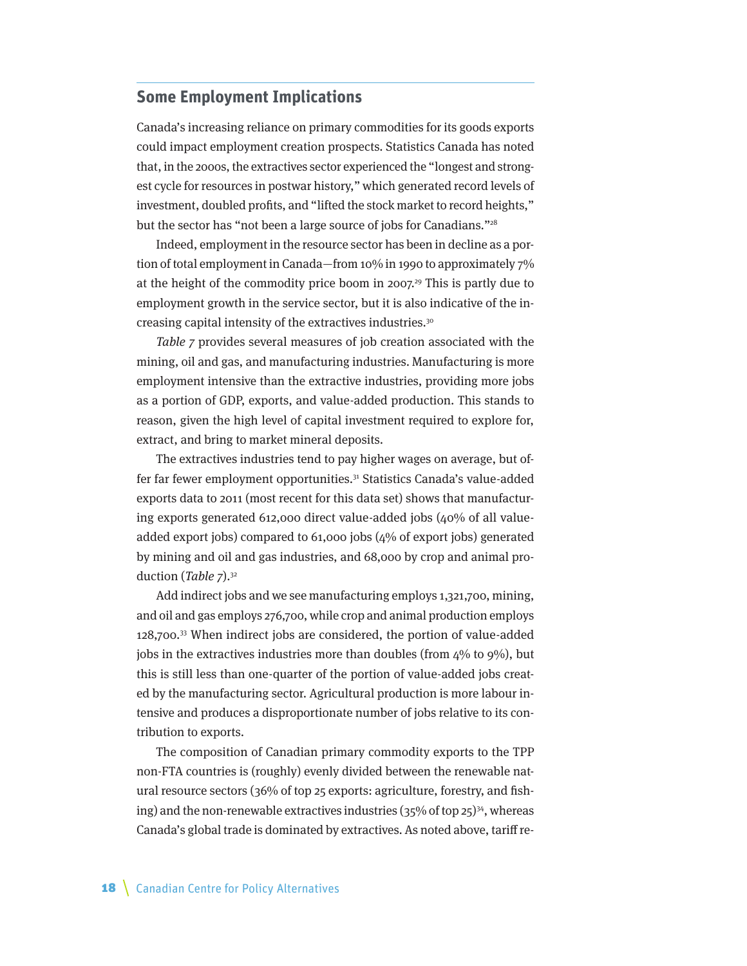#### <span id="page-17-0"></span>**Some Employment Implications**

Canada's increasing reliance on primary commodities for its goods exports could impact employment creation prospects. Statistics Canada has noted that, in the 2000s, the extractives sector experienced the "longest and strongest cycle for resources in postwar history," which generated record levels of investment, doubled profits, and "lifted the stock market to record heights," but the sector has "not been a large source of jobs for Canadians."<sup>28</sup>

Indeed, employment in the resource sector has been in decline as a portion of total employment in Canada—from 10% in 1990 to approximately 7% at the height of the commodity price boom in 2007.<sup>29</sup> This is partly due to employment growth in the service sector, but it is also indicative of the increasing capital intensity of the extractives industries.30

Table 7 provides several measures of job creation associated with the mining, oil and gas, and manufacturing industries. Manufacturing is more employment intensive than the extractive industries, providing more jobs as a portion of GDP, exports, and value-added production. This stands to reason, given the high level of capital investment required to explore for, extract, and bring to market mineral deposits.

The extractives industries tend to pay higher wages on average, but offer far fewer employment opportunities.31 Statistics Canada's value-added exports data to 2011 (most recent for this data set) shows that manufacturing exports generated 612,000 direct value-added jobs (40% of all valueadded export jobs) compared to 61,000 jobs (4% of export jobs) generated by mining and oil and gas industries, and 68,000 by crop and animal production (Table 7).32

Add indirect jobs and we see manufacturing employs 1,321,700, mining, and oil and gas employs 276,700, while crop and animal production employs 128,700.33 When indirect jobs are considered, the portion of value-added jobs in the extractives industries more than doubles (from  $4\%$  to  $9\%$ ), but this is still less than one-quarter of the portion of value-added jobs created by the manufacturing sector. Agricultural production is more labour intensive and produces a disproportionate number of jobs relative to its contribution to exports.

The composition of Canadian primary commodity exports to the TPP non-FTA countries is (roughly) evenly divided between the renewable natural resource sectors (36% of top 25 exports: agriculture, forestry, and fishing) and the non-renewable extractives industries  $(35\%$  of top 25)<sup>34</sup>, whereas Canada's global trade is dominated by extractives. As noted above, tariff re-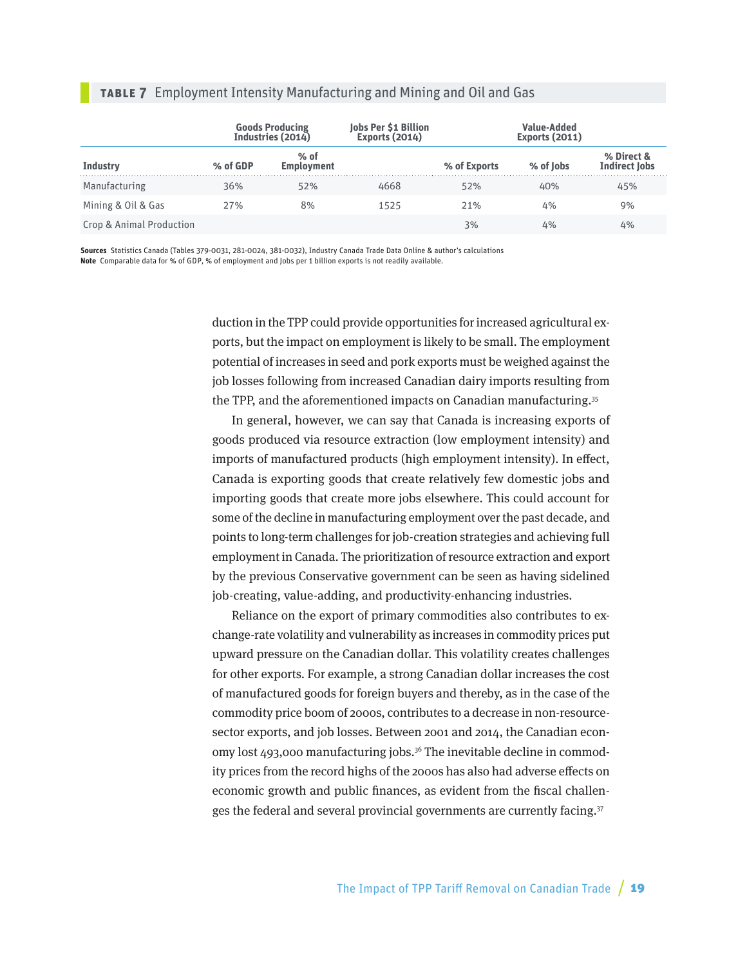|  |  |  | <b>TABLE 7</b> Employment Intensity Manufacturing and Mining and Oil and Gas |  |  |  |
|--|--|--|------------------------------------------------------------------------------|--|--|--|
|--|--|--|------------------------------------------------------------------------------|--|--|--|

|                          |          | <b>Goods Producing<br/>Industries (2014)</b> | Jobs Per \$1 Billion<br>Exports (2014) |              | <b>Value-Added</b><br><b>Exports (2011)</b> |                                    |
|--------------------------|----------|----------------------------------------------|----------------------------------------|--------------|---------------------------------------------|------------------------------------|
| <b>Industry</b>          | % of GDP | $%$ of<br><b>Employment</b>                  |                                        | % of Exports | % of lobs                                   | % Direct &<br><b>Indirect Jobs</b> |
| Manufacturing            | 36%      | 52%                                          | 4668                                   | 52%          | 40%                                         | 45%                                |
| Mining & Oil & Gas       | 27%      | 8%                                           | 1525                                   | 21%          | 4%                                          | 9%                                 |
| Crop & Animal Production |          |                                              |                                        | 3%           | 4%                                          | 4%                                 |

**Sources** Statistics Canada (Tables 379-0031, 281-0024, 381-0032), Industry Canada Trade Data Online & author's calculations **Note** Comparable data for % of GDP, % of employment and Jobs per 1 billion exports is not readily available.

> duction in the TPP could provide opportunities for increased agricultural exports, but the impact on employment is likely to be small. The employment potential of increases in seed and pork exports must be weighed against the job losses following from increased Canadian dairy imports resulting from the TPP, and the aforementioned impacts on Canadian manufacturing.35

> In general, however, we can say that Canada is increasing exports of goods produced via resource extraction (low employment intensity) and imports of manufactured products (high employment intensity). In effect, Canada is exporting goods that create relatively few domestic jobs and importing goods that create more jobs elsewhere. This could account for some of the decline in manufacturing employment over the past decade, and points to long-term challenges for job-creation strategies and achieving full employment in Canada. The prioritization of resource extraction and export by the previous Conservative government can be seen as having sidelined job-creating, value-adding, and productivity-enhancing industries.

> Reliance on the export of primary commodities also contributes to exchange-rate volatility and vulnerability as increases in commodity prices put upward pressure on the Canadian dollar. This volatility creates challenges for other exports. For example, a strong Canadian dollar increases the cost of manufactured goods for foreign buyers and thereby, as in the case of the commodity price boom of 2000s, contributes to a decrease in non-resourcesector exports, and job losses. Between 2001 and 2014, the Canadian economy lost 493,000 manufacturing jobs.<sup>36</sup> The inevitable decline in commodity prices from the record highs of the 2000s has also had adverse effects on economic growth and public finances, as evident from the fiscal challenges the federal and several provincial governments are currently facing.37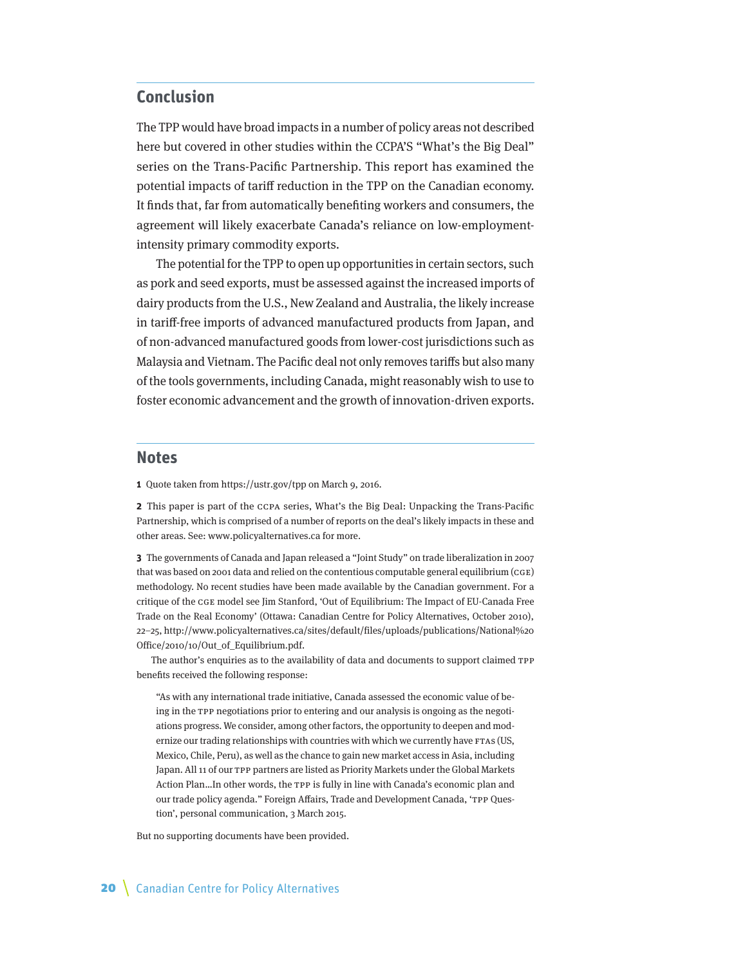## <span id="page-19-0"></span>**Conclusion**

The TPP would have broad impacts in a number of policy areas not described here but covered in other studies within the CCPA'S "What's the Big Deal" series on the Trans-Pacific Partnership. This report has examined the potential impacts of tariff reduction in the TPP on the Canadian economy. It finds that, far from automatically benefiting workers and consumers, the agreement will likely exacerbate Canada's reliance on low-employmentintensity primary commodity exports.

The potential for the TPP to open up opportunities in certain sectors, such as pork and seed exports, must be assessed against the increased imports of dairy products from the U.S., New Zealand and Australia, the likely increase in tariff-free imports of advanced manufactured products from Japan, and of non-advanced manufactured goods from lower-cost jurisdictions such as Malaysia and Vietnam. The Pacific deal not only removes tariffs but also many of the tools governments, including Canada, might reasonably wish to use to foster economic advancement and the growth of innovation-driven exports.

#### **Notes**

**1** Quote taken from<https://ustr.gov/tpp> on March 9, 2016.

**2** This paper is part of the CCPA series, What's the Big Deal: Unpacking the Trans-Pacific Partnership, which is comprised of a number of reports on the deal's likely impacts in these and other areas. See: [www.policyalternatives.ca](http://www.policyalternatives.ca) for more.

**3** The governments of Canada and Japan released a "Joint Study" on trade liberalization in 2007 that was based on 2001 data and relied on the contentious computable general equilibrium (CGE) methodology. No recent studies have been made available by the Canadian government. For a critique of the CGE model see Jim Stanford, 'Out of Equilibrium: The Impact of EU-Canada Free Trade on the Real Economy' (Ottawa: Canadian Centre for Policy Alternatives, October 2010), 22–25, http://www.policyalternatives.ca/sites/default/files/uploads/publications/National%20 Office/2010/10/Out\_of\_Equilibrium.pdf.

The author's enquiries as to the availability of data and documents to support claimed TPP benefits received the following response:

"As with any international trade initiative, Canada assessed the economic value of being in the TPP negotiations prior to entering and our analysis is ongoing as the negotiations progress. We consider, among other factors, the opportunity to deepen and modernize our trading relationships with countries with which we currently have FTAs (US, Mexico, Chile, Peru), as well as the chance to gain new market access in Asia, including Japan. All 11 of our TPP partners are listed as Priority Markets under the Global Markets Action Plan…In other words, the TPP is fully in line with Canada's economic plan and our trade policy agenda." Foreign Affairs, Trade and Development Canada, 'TPP Question', personal communication, 3 March 2015.

But no supporting documents have been provided.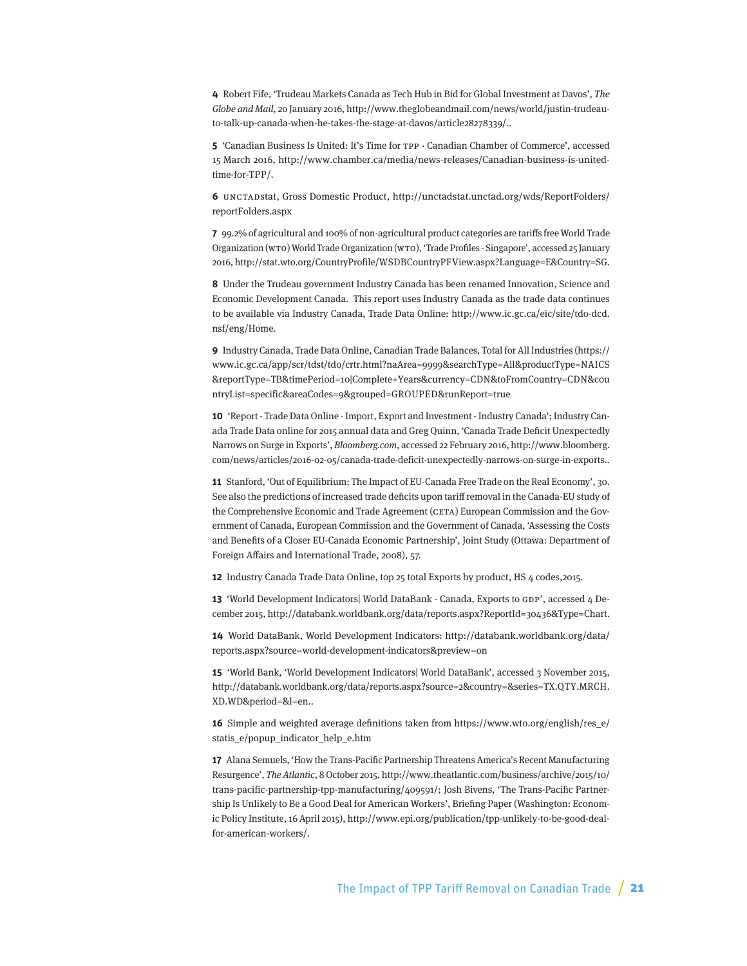**4** Robert Fife, 'Trudeau Markets Canada as Tech Hub in Bid for Global Investment at Davos', The Globe and Mail, 20 January 2016, http://www.theglobeandmail.com/news/world/justin-trudeauto-talk-up-canada-when-he-takes-the-stage-at-davos/article28278339/..

**5** 'Canadian Business Is United: It's Time for TPP · Canadian Chamber of Commerce', accessed 15 March 2016, http://www.chamber.ca/media/news-releases/Canadian-business-is-unitedtime-for-TPP/.

**6** UNCTADstat, Gross Domestic Product, [http://unctadstat.unctad.org/wds/ReportFolders/](http://unctadstat.unctad.org/wds/ReportFolders/reportFolders.aspx) [reportFolders.aspx](http://unctadstat.unctad.org/wds/ReportFolders/reportFolders.aspx)

**7** 99.2% of agricultural and 100% of non-agricultural product categories are tariffs free World Trade Organization (WTO) World Trade Organization (WTO), 'Trade Profiles - Singapore', accessed 25 January 2016, http://stat.wto.org/CountryProfile/WSDBCountryPFView.aspx?Language=E&Country=SG.

**8** Under the Trudeau government Industry Canada has been renamed Innovation, Science and Economic Development Canada. This report uses Industry Canada as the trade data continues to be available via Industry Canada, Trade Data Online: http://www.ic.gc.ca/eic/site/tdo-dcd. nsf/eng/Home.

**9** Industry Canada, Trade Data Online, Canadian Trade Balances, Total for All Industries ([https://](https://www.ic.gc.ca/app/scr/tdst/tdo/crtr.html?naArea=9999&searchType=All&productType=NAICS&reportType=TB&timePeriod=10|Complete+Years¤cy=CDN&toFromCountry=CDN&countryList=specific&areaCodes=9&grouped=GROUPED&runReport=true) [www.ic.gc.ca/app/scr/tdst/tdo/crtr.html?naArea=9999&searchType=All&productType=NAICS](https://www.ic.gc.ca/app/scr/tdst/tdo/crtr.html?naArea=9999&searchType=All&productType=NAICS&reportType=TB&timePeriod=10|Complete+Years¤cy=CDN&toFromCountry=CDN&countryList=specific&areaCodes=9&grouped=GROUPED&runReport=true) [&reportType=TB&timePeriod=10|Complete+Years&currency=CDN&toFromCountry=CDN&cou](https://www.ic.gc.ca/app/scr/tdst/tdo/crtr.html?naArea=9999&searchType=All&productType=NAICS&reportType=TB&timePeriod=10|Complete+Years¤cy=CDN&toFromCountry=CDN&countryList=specific&areaCodes=9&grouped=GROUPED&runReport=true) [ntryList=specific&areaCodes=9&grouped=GROUPED&runReport=true](https://www.ic.gc.ca/app/scr/tdst/tdo/crtr.html?naArea=9999&searchType=All&productType=NAICS&reportType=TB&timePeriod=10|Complete+Years¤cy=CDN&toFromCountry=CDN&countryList=specific&areaCodes=9&grouped=GROUPED&runReport=true)

**10** 'Report - Trade Data Online - Import, Export and Investment - Industry Canada'; Industry Canada Trade Data online for 2015 annual data and Greg Quinn, 'Canada Trade Deficit Unexpectedly Narrows on Surge in Exports', Bloomberg.com, accessed 22 February 2016, http://www.bloomberg. com/news/articles/2016-02-05/canada-trade-deficit-unexpectedly-narrows-on-surge-in-exports..

**11** Stanford, 'Out of Equilibrium: The Impact of EU-Canada Free Trade on the Real Economy', 30. See also the predictions of increased trade deficits upon tariff removal in the Canada-EU study of the Comprehensive Economic and Trade Agreement (CETA) European Commission and the Government of Canada, European Commission and the Government of Canada, 'Assessing the Costs and Benefits of a Closer EU-Canada Economic Partnership', Joint Study (Ottawa: Department of Foreign Affairs and International Trade, 2008), 57.

**12** Industry Canada Trade Data Online, top 25 total Exports by product, HS 4 codes,2015.

**13** 'World Development Indicators| World DataBank - Canada, Exports to GDP', accessed 4 December 2015, http://databank.worldbank.org/data/reports.aspx?ReportId=30436&Type=Chart.

**14** World DataBank, World Development Indicators: [http://databank.worldbank.org/data/](http://databank.worldbank.org/data/reports.aspx?source=world-development-indicators&preview=on) [reports.aspx?source=world-development-indicators&preview=on](http://databank.worldbank.org/data/reports.aspx?source=world-development-indicators&preview=on)

**15** 'World Bank, 'World Development Indicators| World DataBank', accessed 3 November 2015, http://databank.worldbank.org/data/reports.aspx?source=2&country=&series=TX.QTY.MRCH. XD.WD&period=&l=en..

**16** Simple and weighted average definitions taken from https://www.wto.org/english/res\_e/ statis\_e/popup\_indicator\_help\_e.htm

**17** Alana Semuels, 'How the Trans-Pacific Partnership Threatens America's Recent Manufacturing Resurgence', The Atlantic, 8 October 2015, http://www.theatlantic.com/business/archive/2015/10/ trans-pacific-partnership-tpp-manufacturing/409591/; Josh Bivens, 'The Trans-Pacific Partnership Is Unlikely to Be a Good Deal for American Workers', Briefing Paper (Washington: Economic Policy Institute, 16 April 2015), http://www.epi.org/publication/tpp-unlikely-to-be-good-dealfor-american-workers/.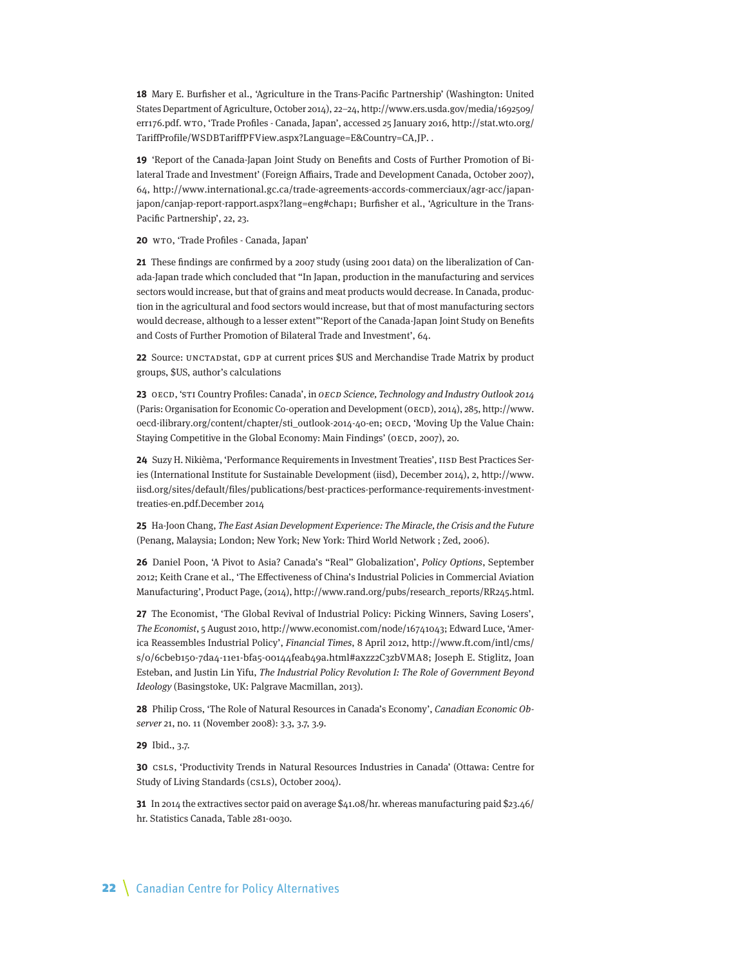**18** Mary E. Burfisher et al., 'Agriculture in the Trans-Pacific Partnership' (Washington: United States Department of Agriculture, October 2014), 22–24, http://www.ers.usda.gov/media/1692509/ err176.pdf. WTO, 'Trade Profiles - Canada, Japan', accessed 25 January 2016, http://stat.wto.org/ TariffProfile/WSDBTariffPFView.aspx?Language=E&Country=CA,JP. .

**19** 'Report of the Canada-Japan Joint Study on Benefits and Costs of Further Promotion of Bilateral Trade and Investment' (Foreign Affiairs, Trade and Development Canada, October 2007), 64, http://www.international.gc.ca/trade-agreements-accords-commerciaux/agr-acc/japanjapon/canjap-report-rapport.aspx?lang=eng#chap1; Burfisher et al., 'Agriculture in the Trans-Pacific Partnership', 22, 23.

**20** WTO, 'Trade Profiles - Canada, Japan'

**21** These findings are confirmed by a 2007 study (using 2001 data) on the liberalization of Canada-Japan trade which concluded that "In Japan, production in the manufacturing and services sectors would increase, but that of grains and meat products would decrease. In Canada, production in the agricultural and food sectors would increase, but that of most manufacturing sectors would decrease, although to a lesser extent"'Report of the Canada-Japan Joint Study on Benefits and Costs of Further Promotion of Bilateral Trade and Investment', 64.

**22** Source: UNCTADstat, GDP at current prices \$US and Merchandise Trade Matrix by product groups, \$US, author's calculations

**23** OECD, 'STI Country Profiles: Canada', in OECD Science, Technology and Industry Outlook 2014 (Paris: Organisation for Economic Co-operation and Development (OECD), 2014), 285, http://www. oecd-ilibrary.org/content/chapter/sti\_outlook-2014-40-en; OECD, 'Moving Up the Value Chain: Staying Competitive in the Global Economy: Main Findings' (OECD, 2007), 20.

**24** Suzy H. Nikièma, 'Performance Requirements in Investment Treaties', IISD Best Practices Series (International Institute for Sustainable Development (iisd), December 2014), 2, http://www. iisd.org/sites/default/files/publications/best-practices-performance-requirements-investmenttreaties-en.pdf.December 2014

**25** Ha-Joon Chang, The East Asian Development Experience: The Miracle, the Crisis and the Future (Penang, Malaysia; London; New York; New York: Third World Network ; Zed, 2006).

**26** Daniel Poon, 'A Pivot to Asia? Canada's "Real" Globalization', Policy Options, September 2012; Keith Crane et al., 'The Effectiveness of China's Industrial Policies in Commercial Aviation Manufacturing', Product Page, (2014), http://www.rand.org/pubs/research\_reports/RR245.html.

**27** The Economist, 'The Global Revival of Industrial Policy: Picking Winners, Saving Losers', The Economist, 5 August 2010, http://www.economist.com/node/16741043; Edward Luce, 'America Reassembles Industrial Policy', Financial Times, 8 April 2012, http://www.ft.com/intl/cms/ s/0/6cbeb150-7da4-11e1-bfa5-00144feab49a.html#axzz2C3zbVMA8; Joseph E. Stiglitz, Joan Esteban, and Justin Lin Yifu, The Industrial Policy Revolution I: The Role of Government Beyond Ideology (Basingstoke, UK: Palgrave Macmillan, 2013).

**28** Philip Cross, 'The Role of Natural Resources in Canada's Economy', Canadian Economic Observer 21, no. 11 (November 2008): 3.3, 3.7, 3.9.

**29** Ibid., 3.7.

**30** CSLS, 'Productivity Trends in Natural Resources Industries in Canada' (Ottawa: Centre for Study of Living Standards (CSLS), October 2004).

**31** In 2014 the extractives sector paid on average \$41.08/hr. whereas manufacturing paid \$23.46/ hr. Statistics Canada, Table 281-0030.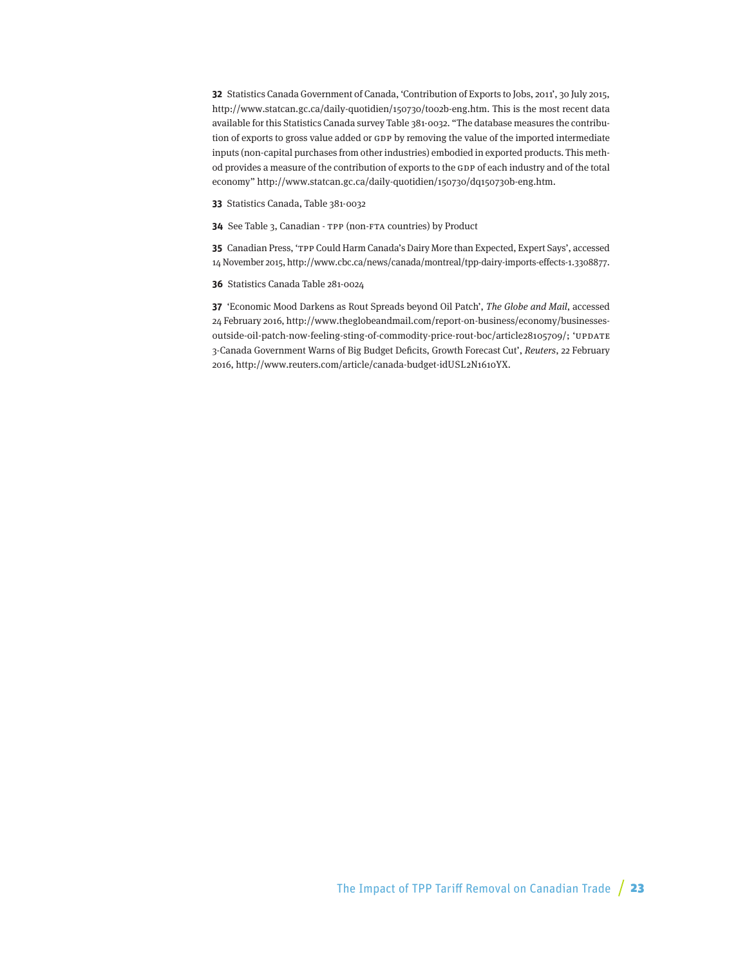**32** Statistics Canada Government of Canada, 'Contribution of Exports to Jobs, 2011', 30 July 2015, http://www.statcan.gc.ca/daily-quotidien/150730/t002b-eng.htm. This is the most recent data available for this Statistics Canada survey Table 381-0032. "The database measures the contribution of exports to gross value added or GDP by removing the value of the imported intermediate inputs (non-capital purchases from other industries) embodied in exported products. This method provides a measure of the contribution of exports to the GDP of each industry and of the total economy" http://www.statcan.gc.ca/daily-quotidien/150730/dq150730b-eng.htm.

**33** Statistics Canada, Table 381-0032

**34** See Table 3, Canadian - TPP (non-FTA countries) by Product

**35** Canadian Press, 'TPP Could Harm Canada's Dairy More than Expected, Expert Says', accessed 14 November 2015, http://www.cbc.ca/news/canada/montreal/tpp-dairy-imports-effects-1.3308877.

**36** Statistics Canada Table 281-0024

**37** 'Economic Mood Darkens as Rout Spreads beyond Oil Patch', The Globe and Mail, accessed 24 February 2016, http://www.theglobeandmail.com/report-on-business/economy/businessesoutside-oil-patch-now-feeling-sting-of-commodity-price-rout-boc/article28105709/; 'UPDATE 3-Canada Government Warns of Big Budget Deficits, Growth Forecast Cut', Reuters, 22 February 2016, http://www.reuters.com/article/canada-budget-idUSL2N1610YX.